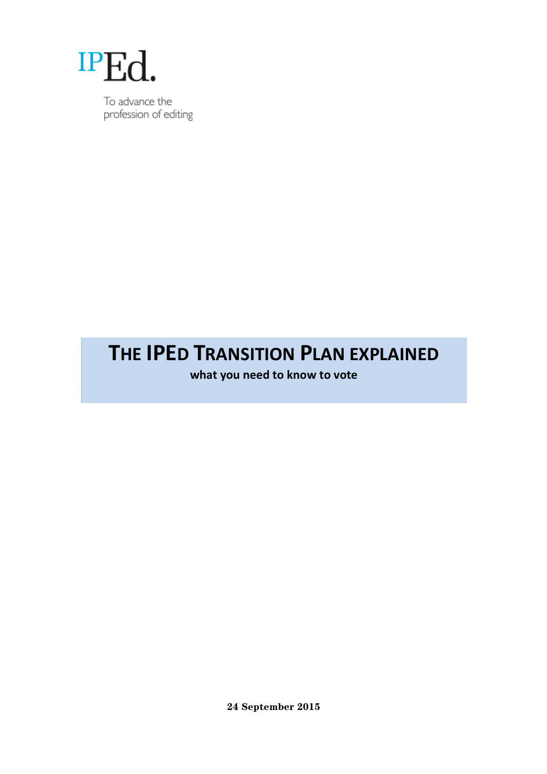

To advance the profession of editing

# **THE IPED TRANSITION PLAN EXPLAINED**

what you need to know to vote

**24 September 2015**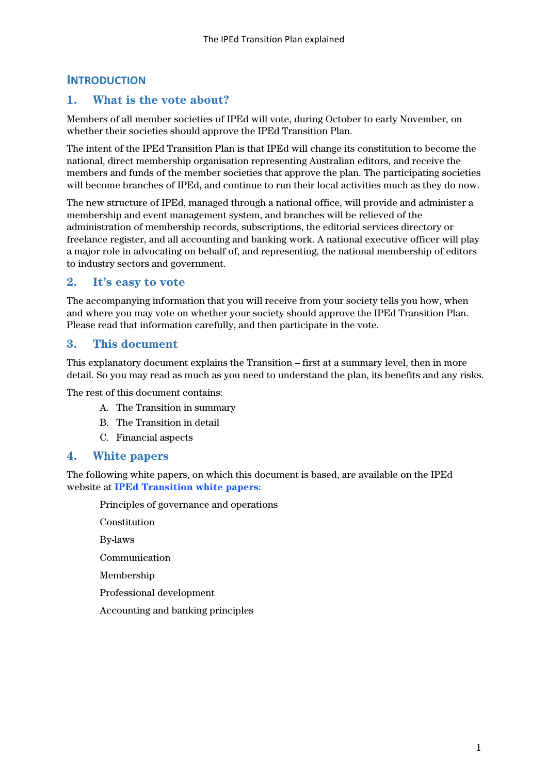# **INTRODUCTION**

# **1. What is the vote about?**

Members of all member societies of IPEd will vote, during October to early November, on whether their societies should approve the IPEd Transition Plan.

The intent of the IPEd Transition Plan is that IPEd will change its constitution to become the national, direct membership organisation representing Australian editors, and receive the members and funds of the member societies that approve the plan. The participating societies will become branches of IPEd, and continue to run their local activities much as they do now.

The new structure of IPEd, managed through a national office, will provide and administer a membership and event management system, and branches will be relieved of the administration of membership records, subscriptions, the editorial services directory or freelance register, and all accounting and banking work. A national executive officer will play a major role in advocating on behalf of, and representing, the national membership of editors to industry sectors and government.

## **2. It's easy to vote**

The accompanying information that you will receive from your society tells you how, when and where you may vote on whether your society should approve the IPEd Transition Plan. Please read that information carefully, and then participate in the vote.

# **3. This document**

This explanatory document explains the Transition – first at a summary level, then in more detail. So you may read as much as you need to understand the plan, its benefits and any risks.

The rest of this document contains:

- A. The Transition in summary
- B. The Transition in detail
- C. Financial aspects

## **4. White papers**

The following white papers, on which this document is based, are available on the IPEd website at **[IPEd Transition white papers](http://www.iped-editors.org.web10.pbstaging.com/About_IPEd/IPEd_Review/IPEd_White_Papers.aspx)**:

Principles of governance and operations

Constitution

By-laws

Communication

Membership

Professional development

Accounting and banking principles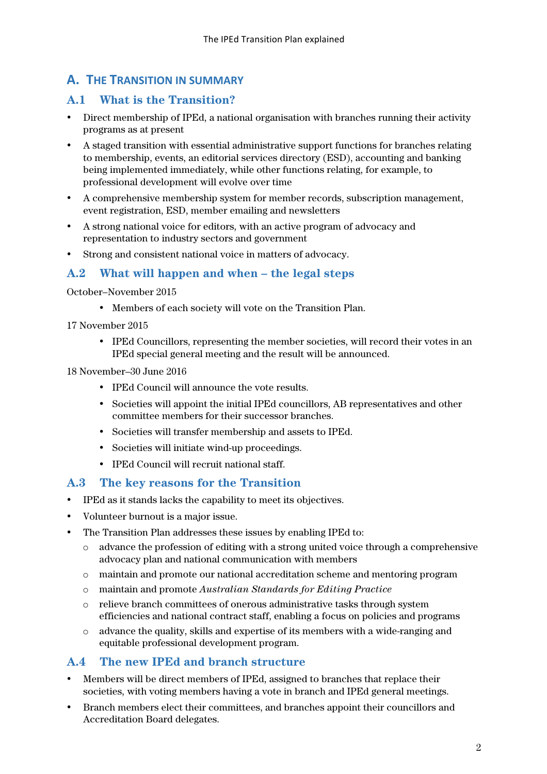# **A. THE TRANSITION IN SUMMARY**

# **A.1 What is the Transition?**

- Direct membership of IPEd, a national organisation with branches running their activity programs as at present
- A staged transition with essential administrative support functions for branches relating to membership, events, an editorial services directory (ESD), accounting and banking being implemented immediately, while other functions relating, for example, to professional development will evolve over time
- A comprehensive membership system for member records, subscription management, event registration, ESD, member emailing and newsletters
- A strong national voice for editors, with an active program of advocacy and representation to industry sectors and government
- Strong and consistent national voice in matters of advocacy.

## **A.2 What will happen and when – the legal steps**

October–November 2015

- Members of each society will vote on the Transition Plan.
- 17 November 2015
	- IPEd Councillors, representing the member societies, will record their votes in an IPEd special general meeting and the result will be announced.

18 November–30 June 2016

- IPEd Council will announce the vote results.
- Societies will appoint the initial IPEd councillors, AB representatives and other committee members for their successor branches.
- Societies will transfer membership and assets to IPEd.
- Societies will initiate wind-up proceedings.
- IPEd Council will recruit national staff.

## **A.3 The key reasons for the Transition**

- IPEd as it stands lacks the capability to meet its objectives.
- Volunteer burnout is a major issue.
- The Transition Plan addresses these issues by enabling IPEd to:
	- o advance the profession of editing with a strong united voice through a comprehensive advocacy plan and national communication with members
	- o maintain and promote our national accreditation scheme and mentoring program
	- o maintain and promote *Australian Standards for Editing Practice*
	- o relieve branch committees of onerous administrative tasks through system efficiencies and national contract staff, enabling a focus on policies and programs
	- $\circ$  advance the quality, skills and expertise of its members with a wide-ranging and equitable professional development program.

## **A.4 The new IPEd and branch structure**

- Members will be direct members of IPEd, assigned to branches that replace their societies, with voting members having a vote in branch and IPEd general meetings.
- Branch members elect their committees, and branches appoint their councillors and Accreditation Board delegates.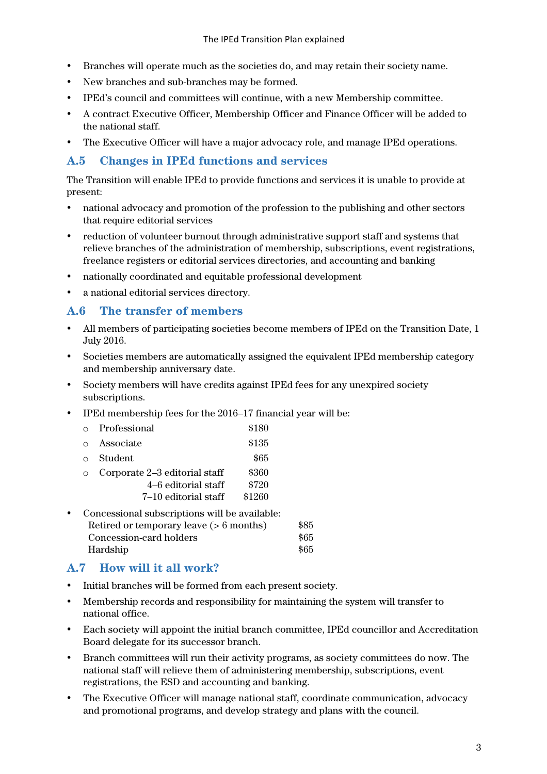- Branches will operate much as the societies do, and may retain their society name.
- New branches and sub-branches may be formed.
- IPEd's council and committees will continue, with a new Membership committee.
- A contract Executive Officer, Membership Officer and Finance Officer will be added to the national staff.
- The Executive Officer will have a major advocacy role, and manage IPEd operations.

# **A.5 Changes in IPEd functions and services**

The Transition will enable IPEd to provide functions and services it is unable to provide at present:

- national advocacy and promotion of the profession to the publishing and other sectors that require editorial services
- reduction of volunteer burnout through administrative support staff and systems that relieve branches of the administration of membership, subscriptions, event registrations, freelance registers or editorial services directories, and accounting and banking
- nationally coordinated and equitable professional development
- a national editorial services directory.

# **A.6 The transfer of members**

- All members of participating societies become members of IPEd on the Transition Date, 1 July 2016.
- Societies members are automatically assigned the equivalent IPEd membership category and membership anniversary date.
- Society members will have credits against IPEd fees for any unexpired society subscriptions.
- IPEd membership fees for the 2016–17 financial year will be:

| \$135<br>Associate<br>\$65<br>Student<br>\$360<br>Corporate 2–3 editorial staff<br>\$720<br>4–6 editorial staff<br>\$1260<br>7–10 editorial staff | Professional | \$180 |
|---------------------------------------------------------------------------------------------------------------------------------------------------|--------------|-------|
|                                                                                                                                                   |              |       |
|                                                                                                                                                   |              |       |
|                                                                                                                                                   |              |       |
|                                                                                                                                                   |              |       |
|                                                                                                                                                   |              |       |

| • Concessional subscriptions will be available: |      |  |
|-------------------------------------------------|------|--|
| Retired or temporary leave $(> 6$ months)       | \$85 |  |
| Concession-card holders                         | \$65 |  |
| Hardship                                        | \$65 |  |

# **A.7 How will it all work?**

- Initial branches will be formed from each present society.
- Membership records and responsibility for maintaining the system will transfer to national office.
- Each society will appoint the initial branch committee, IPEd councillor and Accreditation Board delegate for its successor branch.
- Branch committees will run their activity programs, as society committees do now. The national staff will relieve them of administering membership, subscriptions, event registrations, the ESD and accounting and banking.
- The Executive Officer will manage national staff, coordinate communication, advocacy and promotional programs, and develop strategy and plans with the council.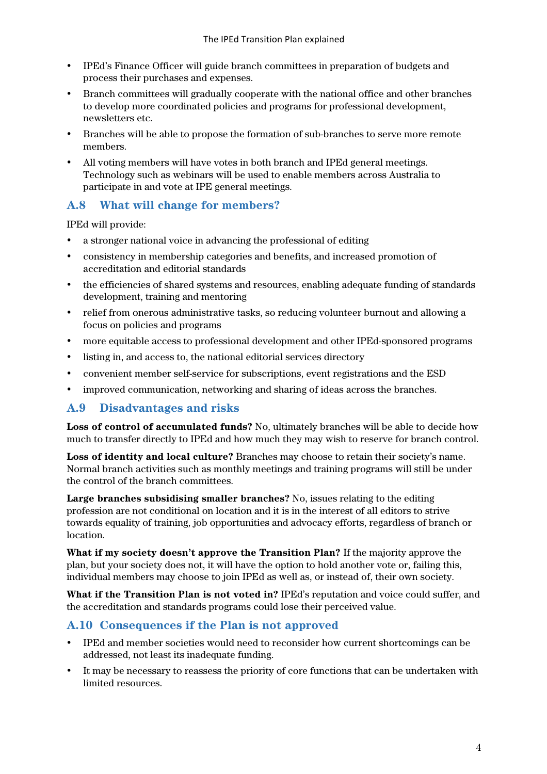- IPEd's Finance Officer will guide branch committees in preparation of budgets and process their purchases and expenses.
- Branch committees will gradually cooperate with the national office and other branches to develop more coordinated policies and programs for professional development, newsletters etc.
- Branches will be able to propose the formation of sub-branches to serve more remote members.
- All voting members will have votes in both branch and IPEd general meetings. Technology such as webinars will be used to enable members across Australia to participate in and vote at IPE general meetings.

# **A.8 What will change for members?**

IPEd will provide:

- a stronger national voice in advancing the professional of editing
- consistency in membership categories and benefits, and increased promotion of accreditation and editorial standards
- the efficiencies of shared systems and resources, enabling adequate funding of standards development, training and mentoring
- relief from onerous administrative tasks, so reducing volunteer burnout and allowing a focus on policies and programs
- more equitable access to professional development and other IPEd-sponsored programs
- listing in, and access to, the national editorial services directory
- convenient member self-service for subscriptions, event registrations and the ESD
- improved communication, networking and sharing of ideas across the branches.

## **A.9 Disadvantages and risks**

**Loss of control of accumulated funds?** No, ultimately branches will be able to decide how much to transfer directly to IPEd and how much they may wish to reserve for branch control.

**Loss of identity and local culture?** Branches may choose to retain their society's name. Normal branch activities such as monthly meetings and training programs will still be under the control of the branch committees.

**Large branches subsidising smaller branches?** No, issues relating to the editing profession are not conditional on location and it is in the interest of all editors to strive towards equality of training, job opportunities and advocacy efforts, regardless of branch or location.

**What if my society doesn't approve the Transition Plan?** If the majority approve the plan, but your society does not, it will have the option to hold another vote or, failing this, individual members may choose to join IPEd as well as, or instead of, their own society.

**What if the Transition Plan is not voted in?** IPEd's reputation and voice could suffer, and the accreditation and standards programs could lose their perceived value.

# **A.10 Consequences if the Plan is not approved**

- IPEd and member societies would need to reconsider how current shortcomings can be addressed, not least its inadequate funding.
- It may be necessary to reassess the priority of core functions that can be undertaken with limited resources.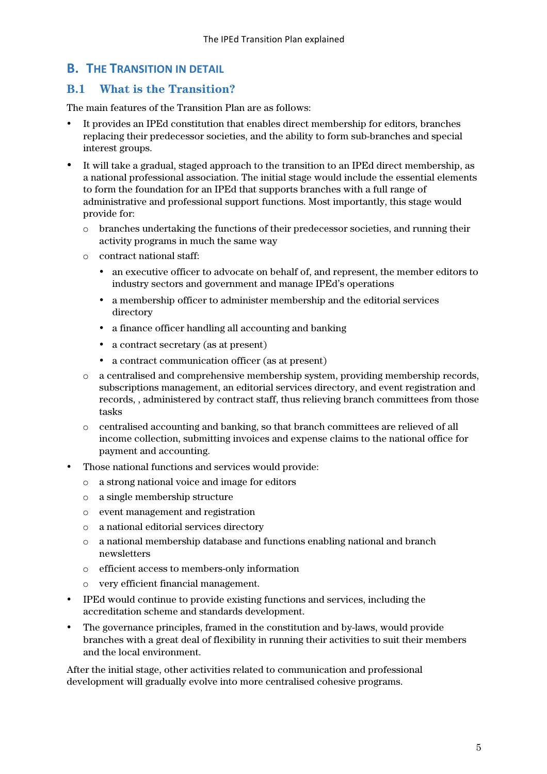# **B.** THE TRANSITION IN DETAIL

# **B.1 What is the Transition?**

The main features of the Transition Plan are as follows:

- It provides an IPEd constitution that enables direct membership for editors, branches replacing their predecessor societies, and the ability to form sub-branches and special interest groups.
- It will take a gradual, staged approach to the transition to an IPEd direct membership, as a national professional association. The initial stage would include the essential elements to form the foundation for an IPEd that supports branches with a full range of administrative and professional support functions. Most importantly, this stage would provide for:
	- o branches undertaking the functions of their predecessor societies, and running their activity programs in much the same way
	- o contract national staff:
		- an executive officer to advocate on behalf of, and represent, the member editors to industry sectors and government and manage IPEd's operations
		- a membership officer to administer membership and the editorial services directory
		- a finance officer handling all accounting and banking
		- a contract secretary (as at present)
		- a contract communication officer (as at present)
	- o a centralised and comprehensive membership system, providing membership records, subscriptions management, an editorial services directory, and event registration and records, , administered by contract staff, thus relieving branch committees from those tasks
	- o centralised accounting and banking, so that branch committees are relieved of all income collection, submitting invoices and expense claims to the national office for payment and accounting.
- Those national functions and services would provide:
	- o a strong national voice and image for editors
	- o a single membership structure
	- o event management and registration
	- o a national editorial services directory
	- $\circ$  a national membership database and functions enabling national and branch newsletters
	- o efficient access to members-only information
	- o very efficient financial management.
- IPEd would continue to provide existing functions and services, including the accreditation scheme and standards development.
- The governance principles, framed in the constitution and by-laws, would provide branches with a great deal of flexibility in running their activities to suit their members and the local environment.

After the initial stage, other activities related to communication and professional development will gradually evolve into more centralised cohesive programs.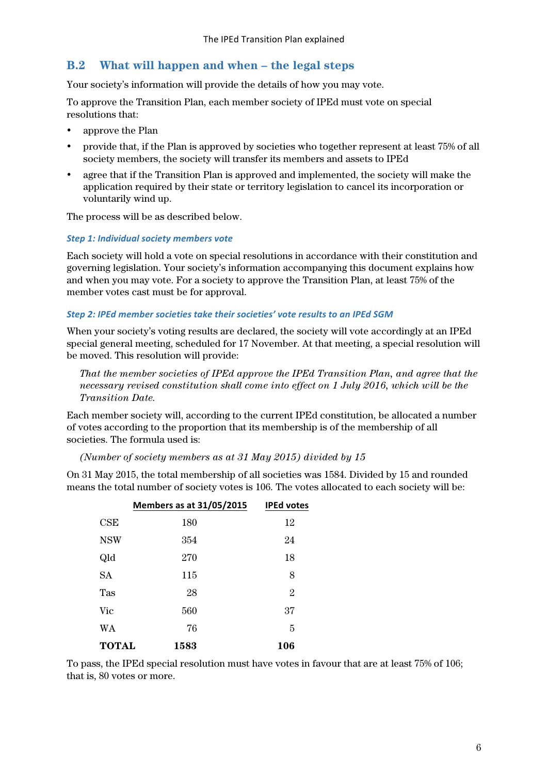## **B.2 What will happen and when – the legal steps**

Your society's information will provide the details of how you may vote.

To approve the Transition Plan, each member society of IPEd must vote on special resolutions that:

- approve the Plan
- provide that, if the Plan is approved by societies who together represent at least 75% of all society members, the society will transfer its members and assets to IPEd
- agree that if the Transition Plan is approved and implemented, the society will make the application required by their state or territory legislation to cancel its incorporation or voluntarily wind up.

The process will be as described below.

#### **Step 1: Individual society members vote**

Each society will hold a vote on special resolutions in accordance with their constitution and governing legislation. Your society's information accompanying this document explains how and when you may vote. For a society to approve the Transition Plan, at least 75% of the member votes cast must be for approval.

#### **Step 2: IPEd member societies take their societies' vote results to an IPEd SGM**

When your society's voting results are declared, the society will vote accordingly at an IPEd special general meeting, scheduled for 17 November. At that meeting, a special resolution will be moved. This resolution will provide:

*That the member societies of IPEd approve the IPEd Transition Plan, and agree that the necessary revised constitution shall come into effect on 1 July 2016, which will be the Transition Date.*

Each member society will, according to the current IPEd constitution, be allocated a number of votes according to the proportion that its membership is of the membership of all societies. The formula used is:

*(Number of society members as at 31 May 2015) divided by 15*

On 31 May 2015, the total membership of all societies was 1584. Divided by 15 and rounded means the total number of society votes is 106. The votes allocated to each society will be:

|              | <b>Members as at 31/05/2015</b> | <b>IPEd votes</b> |
|--------------|---------------------------------|-------------------|
| CSE          | 180                             | 12                |
| <b>NSW</b>   | 354                             | 24                |
| Qld          | 270                             | 18                |
| <b>SA</b>    | 115                             | 8                 |
| Tas          | 28                              | $\overline{2}$    |
| Vic          | 560                             | 37                |
| <b>WA</b>    | 76                              | 5                 |
| <b>TOTAL</b> | 1583                            | 106               |

To pass, the IPEd special resolution must have votes in favour that are at least 75% of 106; that is, 80 votes or more.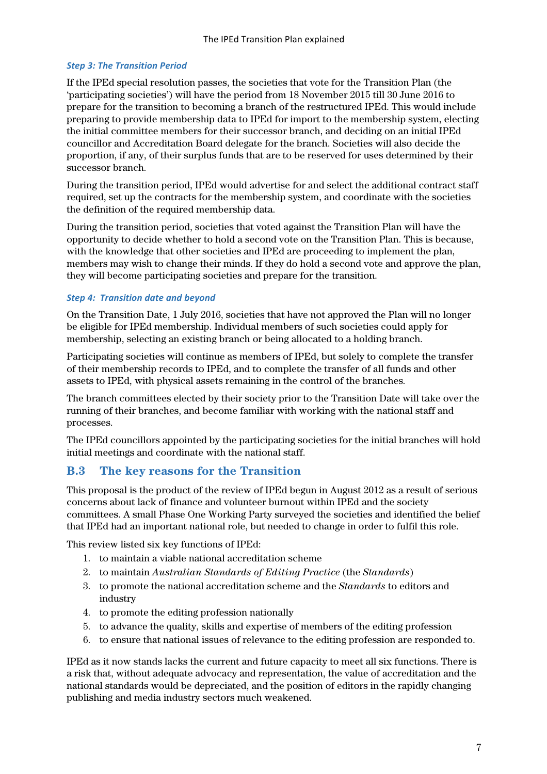### **Step 3: The Transition Period**

If the IPEd special resolution passes, the societies that vote for the Transition Plan (the 'participating societies') will have the period from 18 November 2015 till 30 June 2016 to prepare for the transition to becoming a branch of the restructured IPEd. This would include preparing to provide membership data to IPEd for import to the membership system, electing the initial committee members for their successor branch, and deciding on an initial IPEd councillor and Accreditation Board delegate for the branch. Societies will also decide the proportion, if any, of their surplus funds that are to be reserved for uses determined by their successor branch.

During the transition period, IPEd would advertise for and select the additional contract staff required, set up the contracts for the membership system, and coordinate with the societies the definition of the required membership data.

During the transition period, societies that voted against the Transition Plan will have the opportunity to decide whether to hold a second vote on the Transition Plan. This is because, with the knowledge that other societies and IPEd are proceeding to implement the plan, members may wish to change their minds. If they do hold a second vote and approve the plan, they will become participating societies and prepare for the transition.

#### **Step 4: Transition date and beyond**

On the Transition Date, 1 July 2016, societies that have not approved the Plan will no longer be eligible for IPEd membership. Individual members of such societies could apply for membership, selecting an existing branch or being allocated to a holding branch.

Participating societies will continue as members of IPEd, but solely to complete the transfer of their membership records to IPEd, and to complete the transfer of all funds and other assets to IPEd, with physical assets remaining in the control of the branches.

The branch committees elected by their society prior to the Transition Date will take over the running of their branches, and become familiar with working with the national staff and processes.

The IPEd councillors appointed by the participating societies for the initial branches will hold initial meetings and coordinate with the national staff.

## **B.3 The key reasons for the Transition**

This proposal is the product of the review of IPEd begun in August 2012 as a result of serious concerns about lack of finance and volunteer burnout within IPEd and the society committees. A small Phase One Working Party surveyed the societies and identified the belief that IPEd had an important national role, but needed to change in order to fulfil this role.

This review listed six key functions of IPEd:

- 1. to maintain a viable national accreditation scheme
- 2. to maintain *Australian Standards of Editing Practice* (the *Standards*)
- 3. to promote the national accreditation scheme and the *Standards* to editors and industry
- 4. to promote the editing profession nationally
- 5. to advance the quality, skills and expertise of members of the editing profession
- 6. to ensure that national issues of relevance to the editing profession are responded to.

IPEd as it now stands lacks the current and future capacity to meet all six functions. There is a risk that, without adequate advocacy and representation, the value of accreditation and the national standards would be depreciated, and the position of editors in the rapidly changing publishing and media industry sectors much weakened.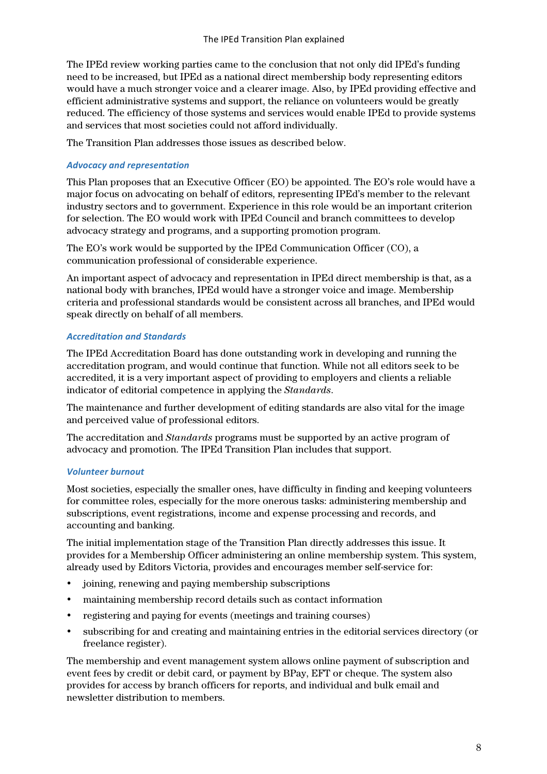The IPEd review working parties came to the conclusion that not only did IPEd's funding need to be increased, but IPEd as a national direct membership body representing editors would have a much stronger voice and a clearer image. Also, by IPEd providing effective and efficient administrative systems and support, the reliance on volunteers would be greatly reduced. The efficiency of those systems and services would enable IPEd to provide systems and services that most societies could not afford individually.

The Transition Plan addresses those issues as described below.

### *Advocacy and representation*

This Plan proposes that an Executive Officer (EO) be appointed. The EO's role would have a major focus on advocating on behalf of editors, representing IPEd's member to the relevant industry sectors and to government. Experience in this role would be an important criterion for selection. The EO would work with IPEd Council and branch committees to develop advocacy strategy and programs, and a supporting promotion program.

The EO's work would be supported by the IPEd Communication Officer (CO), a communication professional of considerable experience.

An important aspect of advocacy and representation in IPEd direct membership is that, as a national body with branches, IPEd would have a stronger voice and image. Membership criteria and professional standards would be consistent across all branches, and IPEd would speak directly on behalf of all members.

#### *Accreditation and Standards*

The IPEd Accreditation Board has done outstanding work in developing and running the accreditation program, and would continue that function. While not all editors seek to be accredited, it is a very important aspect of providing to employers and clients a reliable indicator of editorial competence in applying the *Standards*.

The maintenance and further development of editing standards are also vital for the image and perceived value of professional editors.

The accreditation and *Standards* programs must be supported by an active program of advocacy and promotion. The IPEd Transition Plan includes that support.

#### *Volunteer burnout*

Most societies, especially the smaller ones, have difficulty in finding and keeping volunteers for committee roles, especially for the more onerous tasks: administering membership and subscriptions, event registrations, income and expense processing and records, and accounting and banking.

The initial implementation stage of the Transition Plan directly addresses this issue. It provides for a Membership Officer administering an online membership system. This system, already used by Editors Victoria, provides and encourages member self-service for:

- joining, renewing and paying membership subscriptions
- maintaining membership record details such as contact information
- registering and paying for events (meetings and training courses)
- subscribing for and creating and maintaining entries in the editorial services directory (or freelance register).

The membership and event management system allows online payment of subscription and event fees by credit or debit card, or payment by BPay, EFT or cheque. The system also provides for access by branch officers for reports, and individual and bulk email and newsletter distribution to members.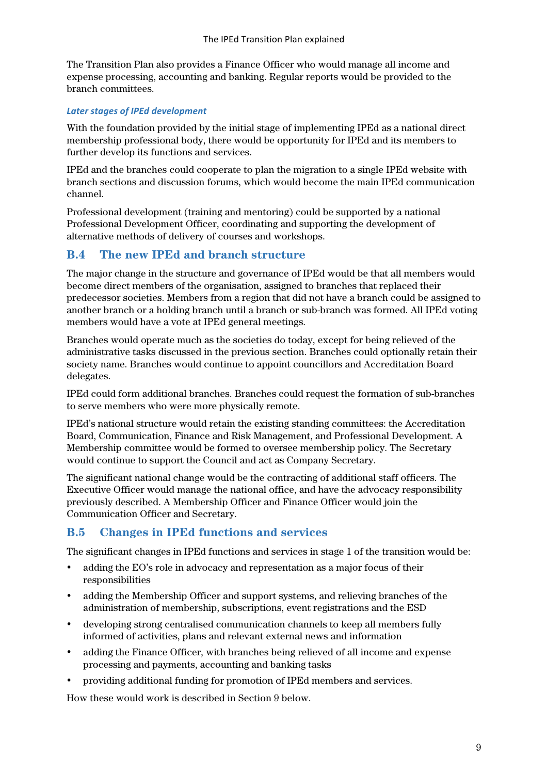The Transition Plan also provides a Finance Officer who would manage all income and expense processing, accounting and banking. Regular reports would be provided to the branch committees.

#### Later stages of **IPEd** development

With the foundation provided by the initial stage of implementing IPEd as a national direct membership professional body, there would be opportunity for IPEd and its members to further develop its functions and services.

IPEd and the branches could cooperate to plan the migration to a single IPEd website with branch sections and discussion forums, which would become the main IPEd communication channel.

Professional development (training and mentoring) could be supported by a national Professional Development Officer, coordinating and supporting the development of alternative methods of delivery of courses and workshops.

# **B.4 The new IPEd and branch structure**

The major change in the structure and governance of IPEd would be that all members would become direct members of the organisation, assigned to branches that replaced their predecessor societies. Members from a region that did not have a branch could be assigned to another branch or a holding branch until a branch or sub-branch was formed. All IPEd voting members would have a vote at IPEd general meetings.

Branches would operate much as the societies do today, except for being relieved of the administrative tasks discussed in the previous section. Branches could optionally retain their society name. Branches would continue to appoint councillors and Accreditation Board delegates.

IPEd could form additional branches. Branches could request the formation of sub-branches to serve members who were more physically remote.

IPEd's national structure would retain the existing standing committees: the Accreditation Board, Communication, Finance and Risk Management, and Professional Development. A Membership committee would be formed to oversee membership policy. The Secretary would continue to support the Council and act as Company Secretary.

The significant national change would be the contracting of additional staff officers. The Executive Officer would manage the national office, and have the advocacy responsibility previously described. A Membership Officer and Finance Officer would join the Communication Officer and Secretary.

# **B.5 Changes in IPEd functions and services**

The significant changes in IPEd functions and services in stage 1 of the transition would be:

- adding the EO's role in advocacy and representation as a major focus of their responsibilities
- adding the Membership Officer and support systems, and relieving branches of the administration of membership, subscriptions, event registrations and the ESD
- developing strong centralised communication channels to keep all members fully informed of activities, plans and relevant external news and information
- adding the Finance Officer, with branches being relieved of all income and expense processing and payments, accounting and banking tasks
- providing additional funding for promotion of IPEd members and services.

How these would work is described in Section 9 below.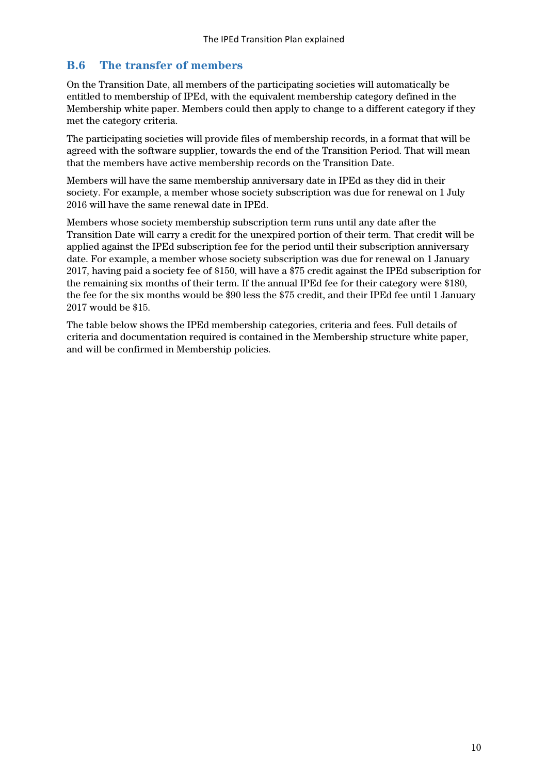## **B.6 The transfer of members**

On the Transition Date, all members of the participating societies will automatically be entitled to membership of IPEd, with the equivalent membership category defined in the Membership white paper. Members could then apply to change to a different category if they met the category criteria.

The participating societies will provide files of membership records, in a format that will be agreed with the software supplier, towards the end of the Transition Period. That will mean that the members have active membership records on the Transition Date.

Members will have the same membership anniversary date in IPEd as they did in their society. For example, a member whose society subscription was due for renewal on 1 July 2016 will have the same renewal date in IPEd.

Members whose society membership subscription term runs until any date after the Transition Date will carry a credit for the unexpired portion of their term. That credit will be applied against the IPEd subscription fee for the period until their subscription anniversary date. For example, a member whose society subscription was due for renewal on 1 January 2017, having paid a society fee of \$150, will have a \$75 credit against the IPEd subscription for the remaining six months of their term. If the annual IPEd fee for their category were \$180, the fee for the six months would be \$90 less the \$75 credit, and their IPEd fee until 1 January 2017 would be \$15.

The table below shows the IPEd membership categories, criteria and fees. Full details of criteria and documentation required is contained in the Membership structure white paper, and will be confirmed in Membership policies.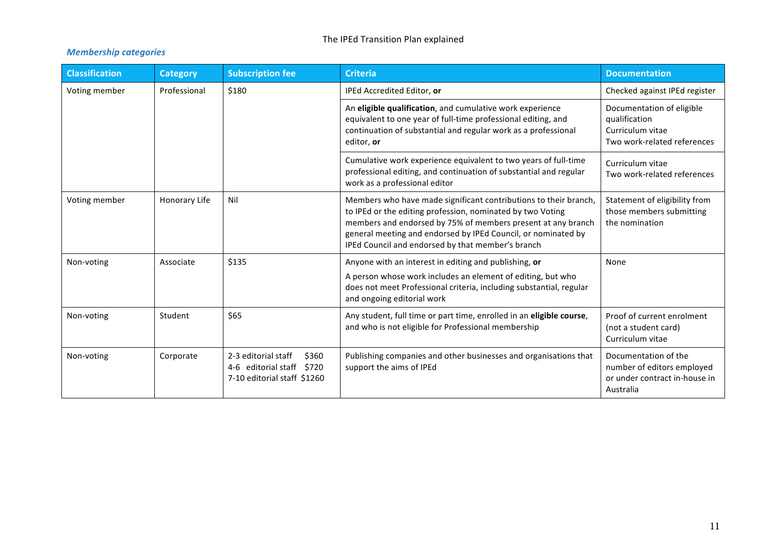## The IPEd Transition Plan explained

## *Membership categories*

| <b>Classification</b> | <b>Category</b> | <b>Subscription fee</b>                                                                  | <b>Criteria</b>                                                                                                                                                                                                                                                                                                      | <b>Documentation</b>                                                                             |
|-----------------------|-----------------|------------------------------------------------------------------------------------------|----------------------------------------------------------------------------------------------------------------------------------------------------------------------------------------------------------------------------------------------------------------------------------------------------------------------|--------------------------------------------------------------------------------------------------|
| Voting member         | Professional    | \$180                                                                                    | IPEd Accredited Editor, or                                                                                                                                                                                                                                                                                           | Checked against IPEd register                                                                    |
|                       |                 |                                                                                          | An eligible qualification, and cumulative work experience<br>equivalent to one year of full-time professional editing, and<br>continuation of substantial and regular work as a professional<br>editor, or                                                                                                           | Documentation of eligible<br>qualification<br>Curriculum vitae<br>Two work-related references    |
|                       |                 |                                                                                          | Cumulative work experience equivalent to two years of full-time<br>professional editing, and continuation of substantial and regular<br>work as a professional editor                                                                                                                                                | Curriculum vitae<br>Two work-related references                                                  |
| Voting member         | Honorary Life   | Nil                                                                                      | Members who have made significant contributions to their branch,<br>to IPEd or the editing profession, nominated by two Voting<br>members and endorsed by 75% of members present at any branch<br>general meeting and endorsed by IPEd Council, or nominated by<br>IPEd Council and endorsed by that member's branch | Statement of eligibility from<br>those members submitting<br>the nomination                      |
| Non-voting            | Associate       | \$135                                                                                    | Anyone with an interest in editing and publishing, or<br>A person whose work includes an element of editing, but who<br>does not meet Professional criteria, including substantial, regular<br>and ongoing editorial work                                                                                            | None                                                                                             |
| Non-voting            | Student         | \$65                                                                                     | Any student, full time or part time, enrolled in an eligible course,<br>and who is not eligible for Professional membership                                                                                                                                                                                          | Proof of current enrolment<br>(not a student card)<br>Curriculum vitae                           |
| Non-voting            | Corporate       | 2-3 editorial staff<br>\$360<br>4-6 editorial staff \$720<br>7-10 editorial staff \$1260 | Publishing companies and other businesses and organisations that<br>support the aims of IPEd                                                                                                                                                                                                                         | Documentation of the<br>number of editors employed<br>or under contract in-house in<br>Australia |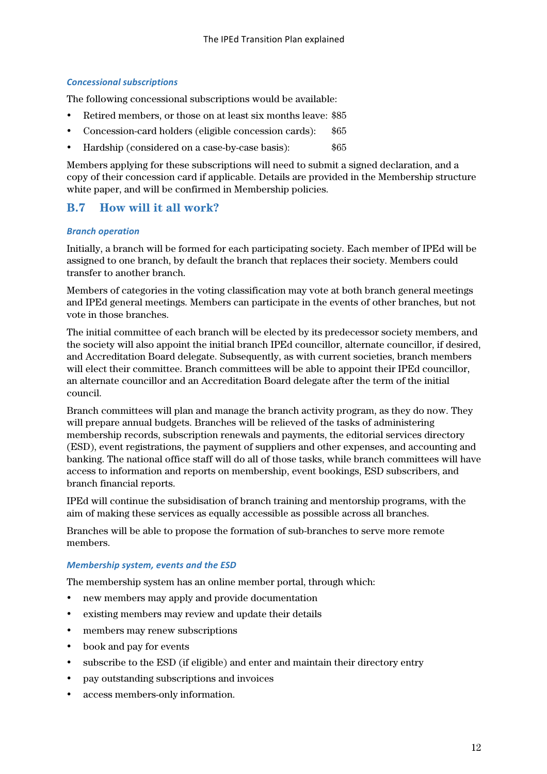#### *Concessional subscriptions*

The following concessional subscriptions would be available:

- Retired members, or those on at least six months leave: \$85
- Concession-card holders (eligible concession cards): \$65
- Hardship (considered on a case-by-case basis):  $$65$

Members applying for these subscriptions will need to submit a signed declaration, and a copy of their concession card if applicable. Details are provided in the Membership structure white paper, and will be confirmed in Membership policies.

# **B.7 How will it all work?**

#### *Branch operation*

Initially, a branch will be formed for each participating society. Each member of IPEd will be assigned to one branch, by default the branch that replaces their society. Members could transfer to another branch.

Members of categories in the voting classification may vote at both branch general meetings and IPEd general meetings. Members can participate in the events of other branches, but not vote in those branches.

The initial committee of each branch will be elected by its predecessor society members, and the society will also appoint the initial branch IPEd councillor, alternate councillor, if desired, and Accreditation Board delegate. Subsequently, as with current societies, branch members will elect their committee. Branch committees will be able to appoint their IPEd councillor, an alternate councillor and an Accreditation Board delegate after the term of the initial council.

Branch committees will plan and manage the branch activity program, as they do now. They will prepare annual budgets. Branches will be relieved of the tasks of administering membership records, subscription renewals and payments, the editorial services directory (ESD), event registrations, the payment of suppliers and other expenses, and accounting and banking. The national office staff will do all of those tasks, while branch committees will have access to information and reports on membership, event bookings, ESD subscribers, and branch financial reports.

IPEd will continue the subsidisation of branch training and mentorship programs, with the aim of making these services as equally accessible as possible across all branches.

Branches will be able to propose the formation of sub-branches to serve more remote members.

#### *Membership system, events and the ESD*

The membership system has an online member portal, through which:

- new members may apply and provide documentation
- existing members may review and update their details
- members may renew subscriptions
- book and pay for events
- subscribe to the ESD (if eligible) and enter and maintain their directory entry
- pay outstanding subscriptions and invoices
- access members-only information.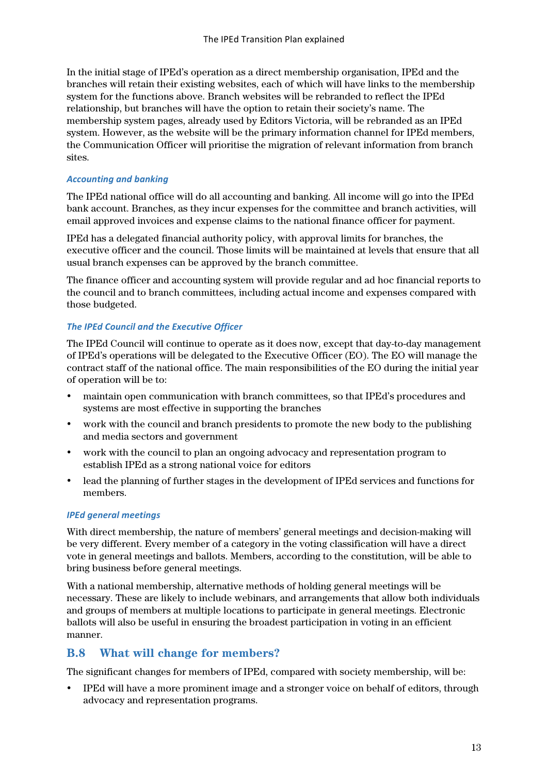In the initial stage of IPEd's operation as a direct membership organisation, IPEd and the branches will retain their existing websites, each of which will have links to the membership system for the functions above. Branch websites will be rebranded to reflect the IPEd relationship, but branches will have the option to retain their society's name. The membership system pages, already used by Editors Victoria, will be rebranded as an IPEd system. However, as the website will be the primary information channel for IPEd members, the Communication Officer will prioritise the migration of relevant information from branch sites.

### *Accounting and banking*

The IPEd national office will do all accounting and banking. All income will go into the IPEd bank account. Branches, as they incur expenses for the committee and branch activities, will email approved invoices and expense claims to the national finance officer for payment.

IPEd has a delegated financial authority policy, with approval limits for branches, the executive officer and the council. Those limits will be maintained at levels that ensure that all usual branch expenses can be approved by the branch committee.

The finance officer and accounting system will provide regular and ad hoc financial reports to the council and to branch committees, including actual income and expenses compared with those budgeted.

## **The IPEd Council and the Executive Officer**

The IPEd Council will continue to operate as it does now, except that day-to-day management of IPEd's operations will be delegated to the Executive Officer (EO). The EO will manage the contract staff of the national office. The main responsibilities of the EO during the initial year of operation will be to:

- maintain open communication with branch committees, so that IPEd's procedures and systems are most effective in supporting the branches
- work with the council and branch presidents to promote the new body to the publishing and media sectors and government
- work with the council to plan an ongoing advocacy and representation program to establish IPEd as a strong national voice for editors
- lead the planning of further stages in the development of IPEd services and functions for members.

#### *IPEd general meetings*

With direct membership, the nature of members' general meetings and decision-making will be very different. Every member of a category in the voting classification will have a direct vote in general meetings and ballots. Members, according to the constitution, will be able to bring business before general meetings.

With a national membership, alternative methods of holding general meetings will be necessary. These are likely to include webinars, and arrangements that allow both individuals and groups of members at multiple locations to participate in general meetings. Electronic ballots will also be useful in ensuring the broadest participation in voting in an efficient manner.

## **B.8 What will change for members?**

The significant changes for members of IPEd, compared with society membership, will be:

• IPEd will have a more prominent image and a stronger voice on behalf of editors, through advocacy and representation programs.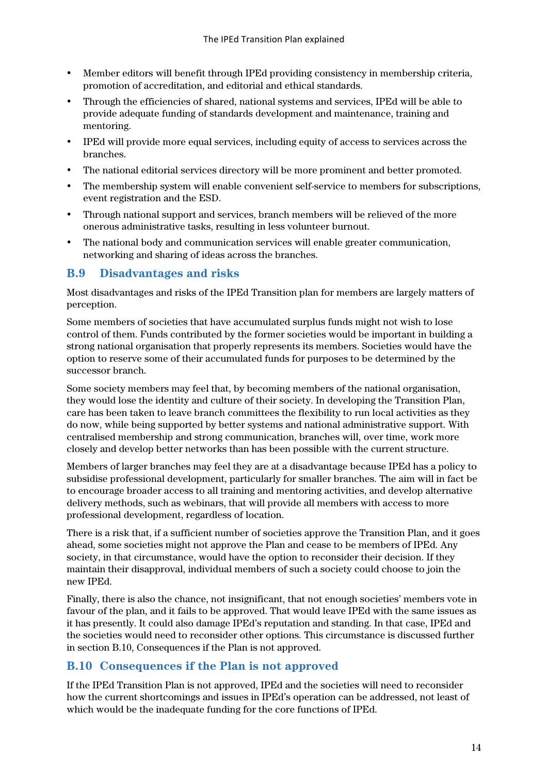- Member editors will benefit through IPEd providing consistency in membership criteria, promotion of accreditation, and editorial and ethical standards.
- Through the efficiencies of shared, national systems and services, IPEd will be able to provide adequate funding of standards development and maintenance, training and mentoring.
- IPEd will provide more equal services, including equity of access to services across the branches.
- The national editorial services directory will be more prominent and better promoted.
- The membership system will enable convenient self-service to members for subscriptions, event registration and the ESD.
- Through national support and services, branch members will be relieved of the more onerous administrative tasks, resulting in less volunteer burnout.
- The national body and communication services will enable greater communication, networking and sharing of ideas across the branches.

## **B.9 Disadvantages and risks**

Most disadvantages and risks of the IPEd Transition plan for members are largely matters of perception.

Some members of societies that have accumulated surplus funds might not wish to lose control of them. Funds contributed by the former societies would be important in building a strong national organisation that properly represents its members. Societies would have the option to reserve some of their accumulated funds for purposes to be determined by the successor branch.

Some society members may feel that, by becoming members of the national organisation, they would lose the identity and culture of their society. In developing the Transition Plan, care has been taken to leave branch committees the flexibility to run local activities as they do now, while being supported by better systems and national administrative support. With centralised membership and strong communication, branches will, over time, work more closely and develop better networks than has been possible with the current structure.

Members of larger branches may feel they are at a disadvantage because IPEd has a policy to subsidise professional development, particularly for smaller branches. The aim will in fact be to encourage broader access to all training and mentoring activities, and develop alternative delivery methods, such as webinars, that will provide all members with access to more professional development, regardless of location.

There is a risk that, if a sufficient number of societies approve the Transition Plan, and it goes ahead, some societies might not approve the Plan and cease to be members of IPEd. Any society, in that circumstance, would have the option to reconsider their decision. If they maintain their disapproval, individual members of such a society could choose to join the new IPEd.

Finally, there is also the chance, not insignificant, that not enough societies' members vote in favour of the plan, and it fails to be approved. That would leave IPEd with the same issues as it has presently. It could also damage IPEd's reputation and standing. In that case, IPEd and the societies would need to reconsider other options. This circumstance is discussed further in section B.10, Consequences if the Plan is not approved.

# **B.10 Consequences if the Plan is not approved**

If the IPEd Transition Plan is not approved, IPEd and the societies will need to reconsider how the current shortcomings and issues in IPEd's operation can be addressed, not least of which would be the inadequate funding for the core functions of IPEd.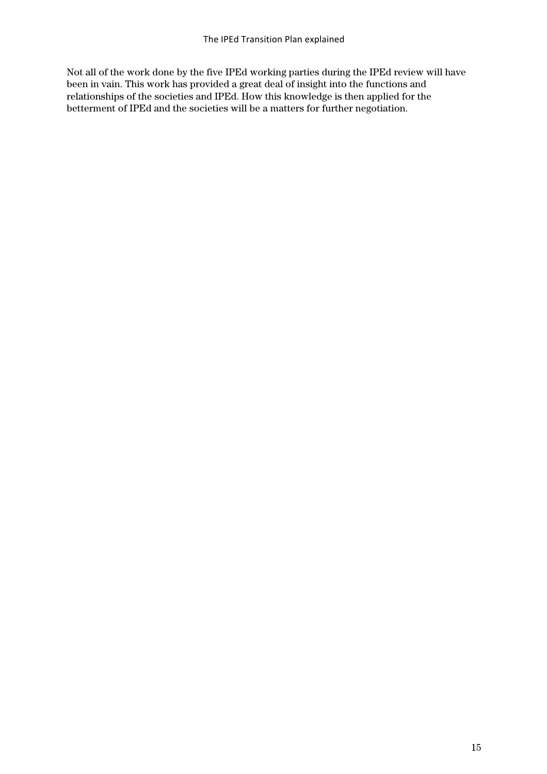Not all of the work done by the five IPEd working parties during the IPEd review will have been in vain. This work has provided a great deal of insight into the functions and relationships of the societies and IPEd. How this knowledge is then applied for the betterment of IPEd and the societies will be a matters for further negotiation.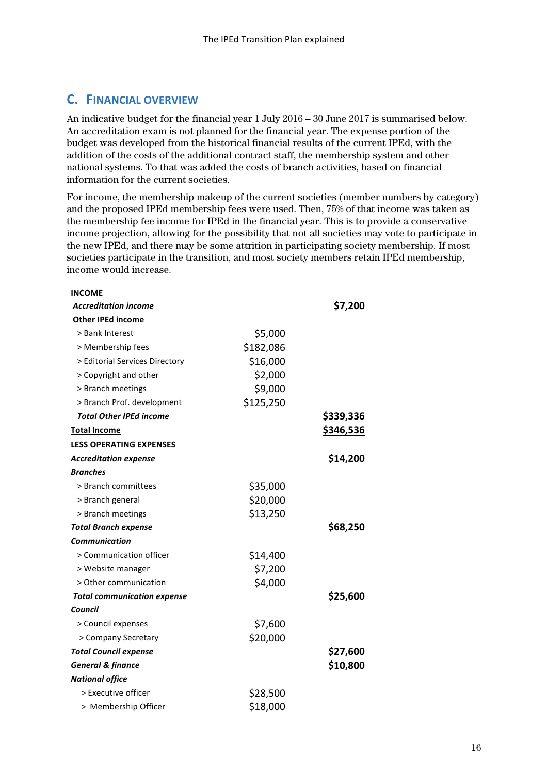# **C. FINANCIAL OVERVIEW**

An indicative budget for the financial year 1 July 2016 – 30 June 2017 is summarised below. An accreditation exam is not planned for the financial year. The expense portion of the budget was developed from the historical financial results of the current IPEd, with the addition of the costs of the additional contract staff, the membership system and other national systems. To that was added the costs of branch activities, based on financial information for the current societies.

For income, the membership makeup of the current societies (member numbers by category) and the proposed IPEd membership fees were used. Then, 75% of that income was taken as the membership fee income for IPEd in the financial year. This is to provide a conservative income projection, allowing for the possibility that not all societies may vote to participate in the new IPEd, and there may be some attrition in participating society membership. If most societies participate in the transition, and most society members retain IPEd membership, income would increase.

| <b>INCOME</b>                      |           |           |
|------------------------------------|-----------|-----------|
| <b>Accreditation income</b>        |           | \$7,200   |
| <b>Other IPEd income</b>           |           |           |
| > Bank Interest                    | \$5,000   |           |
| > Membership fees                  | \$182,086 |           |
| > Editorial Services Directory     | \$16,000  |           |
| > Copyright and other              | \$2,000   |           |
| > Branch meetings                  | \$9,000   |           |
| > Branch Prof. development         | \$125,250 |           |
| <b>Total Other IPEd income</b>     |           | \$339,336 |
| <b>Total Income</b>                |           | \$346,536 |
| <b>LESS OPERATING EXPENSES</b>     |           |           |
| <b>Accreditation expense</b>       |           | \$14,200  |
| <b>Branches</b>                    |           |           |
| > Branch committees                | \$35,000  |           |
| > Branch general                   | \$20,000  |           |
| > Branch meetings                  | \$13,250  |           |
| <b>Total Branch expense</b>        |           | \$68,250  |
| <b>Communication</b>               |           |           |
| > Communication officer            | \$14,400  |           |
| > Website manager                  | \$7,200   |           |
| > Other communication              | \$4,000   |           |
| <b>Total communication expense</b> |           | \$25,600  |
| Council                            |           |           |
| > Council expenses                 | \$7,600   |           |
| > Company Secretary                | \$20,000  |           |
| <b>Total Council expense</b>       |           | \$27,600  |
| <b>General &amp; finance</b>       |           | \$10,800  |
| <b>National office</b>             |           |           |
| > Executive officer                | \$28,500  |           |
| > Membership Officer               | \$18,000  |           |